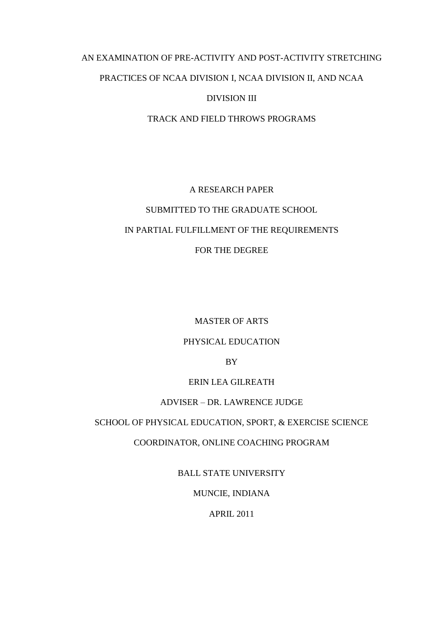# AN EXAMINATION OF PRE-ACTIVITY AND POST-ACTIVITY STRETCHING PRACTICES OF NCAA DIVISION I, NCAA DIVISION II, AND NCAA DIVISION III

TRACK AND FIELD THROWS PROGRAMS

# A RESEARCH PAPER SUBMITTED TO THE GRADUATE SCHOOL IN PARTIAL FULFILLMENT OF THE REQUIREMENTS FOR THE DEGREE

MASTER OF ARTS

# PHYSICAL EDUCATION

BY

# ERIN LEA GILREATH

# ADVISER – DR. LAWRENCE JUDGE

# SCHOOL OF PHYSICAL EDUCATION, SPORT, & EXERCISE SCIENCE

COORDINATOR, ONLINE COACHING PROGRAM

BALL STATE UNIVERSITY

MUNCIE, INDIANA

APRIL 2011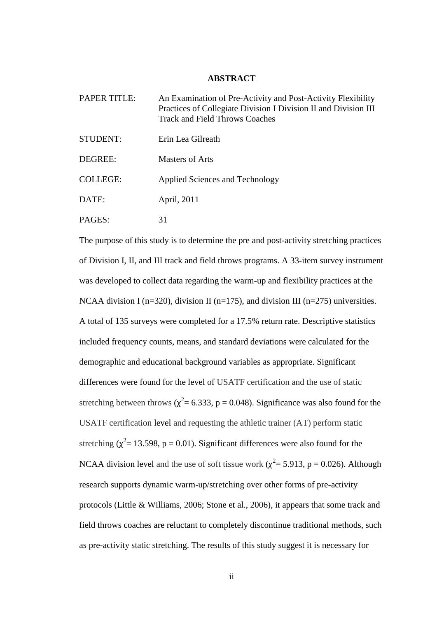#### **ABSTRACT**

| <b>PAPER TITLE:</b> | An Examination of Pre-Activity and Post-Activity Flexibility<br>Practices of Collegiate Division I Division II and Division III<br><b>Track and Field Throws Coaches</b> |  |  |
|---------------------|--------------------------------------------------------------------------------------------------------------------------------------------------------------------------|--|--|
| STUDENT:            | Erin Lea Gilreath                                                                                                                                                        |  |  |
| DEGREE:             | Masters of Arts                                                                                                                                                          |  |  |
| <b>COLLEGE:</b>     | Applied Sciences and Technology                                                                                                                                          |  |  |
| DATE:               | April, 2011                                                                                                                                                              |  |  |
| PAGES:              | 31                                                                                                                                                                       |  |  |

The purpose of this study is to determine the pre and post-activity stretching practices of Division I, II, and III track and field throws programs. A 33-item survey instrument was developed to collect data regarding the warm-up and flexibility practices at the NCAA division I ( $n=320$ ), division II ( $n=175$ ), and division III ( $n=275$ ) universities. A total of 135 surveys were completed for a 17.5% return rate. Descriptive statistics included frequency counts, means, and standard deviations were calculated for the demographic and educational background variables as appropriate. Significant differences were found for the level of USATF certification and the use of static stretching between throws ( $\chi^2$  = 6.333, p = 0.048). Significance was also found for the USATF certification level and requesting the athletic trainer (AT) perform static stretching ( $\chi^2$  = 13.598, p = 0.01). Significant differences were also found for the NCAA division level and the use of soft tissue work ( $\chi^2$  = 5.913, p = 0.026). Although research supports dynamic warm-up/stretching over other forms of pre-activity protocols (Little & Williams, 2006; Stone et al., 2006), it appears that some track and field throws coaches are reluctant to completely discontinue traditional methods, such as pre-activity static stretching. The results of this study suggest it is necessary for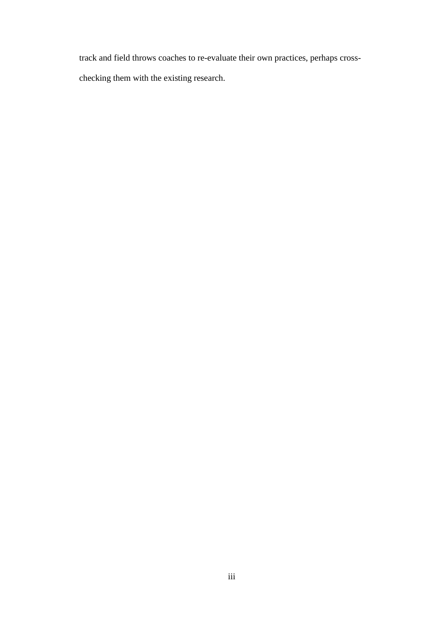track and field throws coaches to re-evaluate their own practices, perhaps cross-

checking them with the existing research.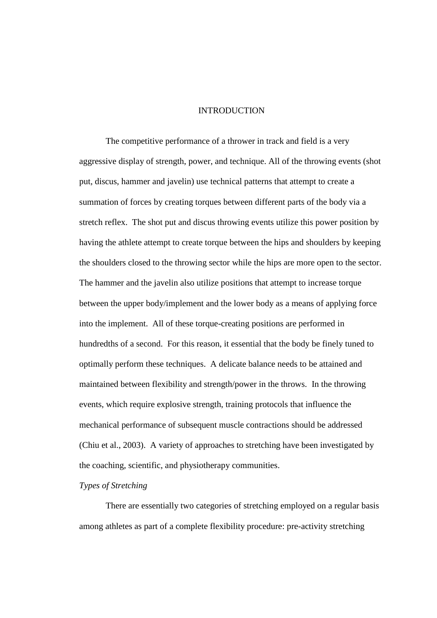# INTRODUCTION

The competitive performance of a thrower in track and field is a very aggressive display of strength, power, and technique. All of the throwing events (shot put, discus, hammer and javelin) use technical patterns that attempt to create a summation of forces by creating torques between different parts of the body via a stretch reflex. The shot put and discus throwing events utilize this power position by having the athlete attempt to create torque between the hips and shoulders by keeping the shoulders closed to the throwing sector while the hips are more open to the sector. The hammer and the javelin also utilize positions that attempt to increase torque between the upper body/implement and the lower body as a means of applying force into the implement. All of these torque-creating positions are performed in hundredths of a second. For this reason, it essential that the body be finely tuned to optimally perform these techniques. A delicate balance needs to be attained and maintained between flexibility and strength/power in the throws. In the throwing events, which require explosive strength, training protocols that influence the mechanical performance of subsequent muscle contractions should be addressed (Chiu et al., 2003). A variety of approaches to stretching have been investigated by the coaching, scientific, and physiotherapy communities.

# *Types of Stretching*

There are essentially two categories of stretching employed on a regular basis among athletes as part of a complete flexibility procedure: pre-activity stretching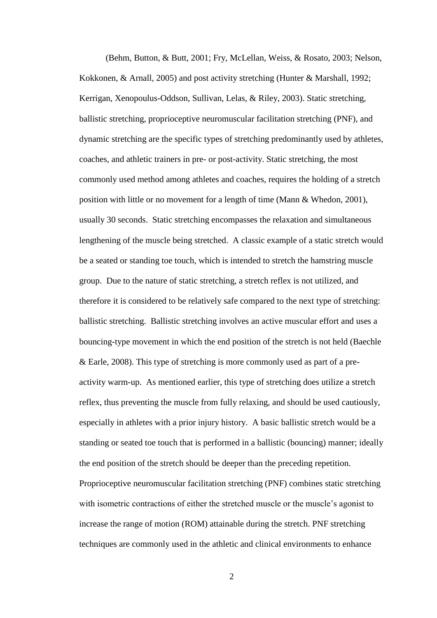(Behm, Button, & Butt, 2001; Fry, McLellan, Weiss, & Rosato, 2003; Nelson, Kokkonen, & Arnall, 2005) and post activity stretching (Hunter & Marshall, 1992; Kerrigan, Xenopoulus-Oddson, Sullivan, Lelas, & Riley, 2003). Static stretching, ballistic stretching, proprioceptive neuromuscular facilitation stretching (PNF), and dynamic stretching are the specific types of stretching predominantly used by athletes, coaches, and athletic trainers in pre- or post-activity. Static stretching, the most commonly used method among athletes and coaches, requires the holding of a stretch position with little or no movement for a length of time (Mann & Whedon, 2001), usually 30 seconds. Static stretching encompasses the relaxation and simultaneous lengthening of the muscle being stretched. A classic example of a static stretch would be a seated or standing toe touch, which is intended to stretch the hamstring muscle group. Due to the nature of static stretching, a stretch reflex is not utilized, and therefore it is considered to be relatively safe compared to the next type of stretching: ballistic stretching. Ballistic stretching involves an active muscular effort and uses a bouncing-type movement in which the end position of the stretch is not held (Baechle & Earle, 2008). This type of stretching is more commonly used as part of a preactivity warm-up. As mentioned earlier, this type of stretching does utilize a stretch reflex, thus preventing the muscle from fully relaxing, and should be used cautiously, especially in athletes with a prior injury history. A basic ballistic stretch would be a standing or seated toe touch that is performed in a ballistic (bouncing) manner; ideally the end position of the stretch should be deeper than the preceding repetition. Proprioceptive neuromuscular facilitation stretching (PNF) combines static stretching with isometric contractions of either the stretched muscle or the muscle's agonist to increase the range of motion (ROM) attainable during the stretch. PNF stretching techniques are commonly used in the athletic and clinical environments to enhance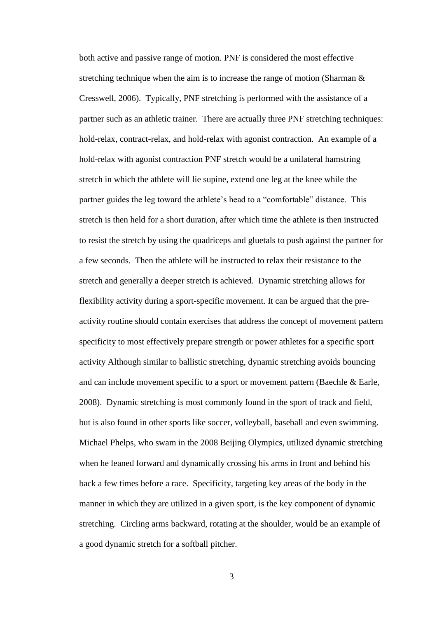both active and passive range of motion. PNF is considered the most effective stretching technique when the aim is to increase the range of motion (Sharman  $\&$ Cresswell, 2006). Typically, PNF stretching is performed with the assistance of a partner such as an athletic trainer. There are actually three PNF stretching techniques: hold-relax, contract-relax, and hold-relax with agonist contraction. An example of a hold-relax with agonist contraction PNF stretch would be a unilateral hamstring stretch in which the athlete will lie supine, extend one leg at the knee while the partner guides the leg toward the athlete's head to a "comfortable" distance. This stretch is then held for a short duration, after which time the athlete is then instructed to resist the stretch by using the quadriceps and gluetals to push against the partner for a few seconds. Then the athlete will be instructed to relax their resistance to the stretch and generally a deeper stretch is achieved. Dynamic stretching allows for flexibility activity during a sport-specific movement. It can be argued that the preactivity routine should contain exercises that address the concept of movement pattern specificity to most effectively prepare strength or power athletes for a specific sport activity Although similar to ballistic stretching, dynamic stretching avoids bouncing and can include movement specific to a sport or movement pattern (Baechle & Earle, 2008). Dynamic stretching is most commonly found in the sport of track and field, but is also found in other sports like soccer, volleyball, baseball and even swimming. Michael Phelps, who swam in the 2008 Beijing Olympics, utilized dynamic stretching when he leaned forward and dynamically crossing his arms in front and behind his back a few times before a race. Specificity, targeting key areas of the body in the manner in which they are utilized in a given sport, is the key component of dynamic stretching. Circling arms backward, rotating at the shoulder, would be an example of a good dynamic stretch for a softball pitcher.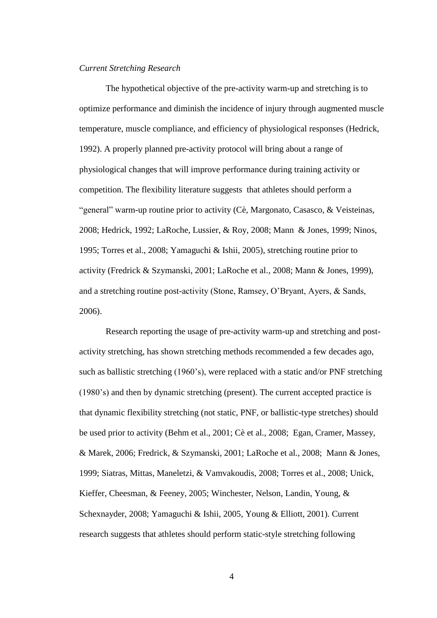## *Current Stretching Research*

The hypothetical objective of the pre-activity warm-up and stretching is to optimize performance and diminish the incidence of injury through augmented muscle temperature, muscle compliance, and efficiency of physiological responses (Hedrick, 1992). A properly planned pre-activity protocol will bring about a range of physiological changes that will improve performance during training activity or competition. The flexibility literature suggests that athletes should perform a "general" warm-up routine prior to activity (Cè, Margonato, Casasco, & Veisteinas, 2008; Hedrick, 1992; LaRoche, Lussier, & Roy, 2008; Mann & Jones, 1999; Ninos, 1995; Torres et al., 2008; Yamaguchi & Ishii, 2005), stretching routine prior to activity (Fredrick & Szymanski, 2001; LaRoche et al., 2008; Mann & Jones, 1999), and a stretching routine post-activity (Stone, Ramsey, O'Bryant, Ayers, & Sands, 2006).

Research reporting the usage of pre-activity warm-up and stretching and postactivity stretching, has shown stretching methods recommended a few decades ago, such as ballistic stretching (1960's), were replaced with a static and/or PNF stretching (1980's) and then by dynamic stretching (present). The current accepted practice is that dynamic flexibility stretching (not static, PNF, or ballistic-type stretches) should be used prior to activity (Behm et al., 2001; Cè et al., 2008; Egan, Cramer, Massey, & Marek, 2006; Fredrick, & Szymanski, 2001; LaRoche et al., 2008; Mann & Jones, 1999; Siatras, Mittas, Maneletzi, & Vamvakoudis, 2008; Torres et al., 2008; Unick, Kieffer, Cheesman, & Feeney, 2005; Winchester, Nelson, Landin, Young, & Schexnayder, 2008; Yamaguchi & Ishii, 2005, Young & Elliott, 2001). Current research suggests that athletes should perform static-style stretching following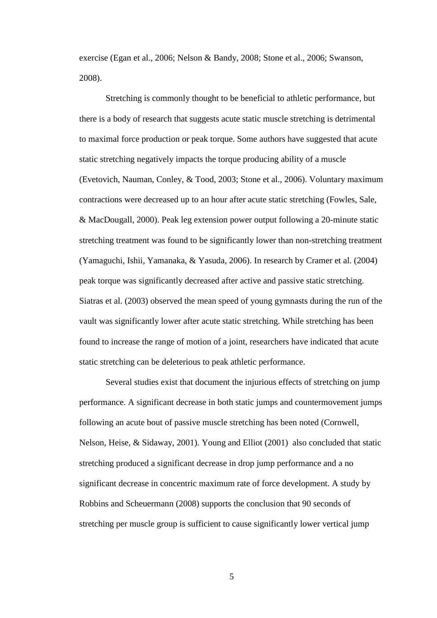exercise (Egan et al., 2006; Nelson & Bandy, 2008; Stone et al., 2006; Swanson, 2008).

Stretching is commonly thought to be beneficial to athletic performance, but there is a body of research that suggests acute static muscle stretching is detrimental to maximal force production or peak torque. Some authors have suggested that acute static stretching negatively impacts the torque producing ability of a muscle (Evetovich, Nauman, Conley, & Tood, 2003; Stone et al., 2006). Voluntary maximum contractions were decreased up to an hour after acute static stretching (Fowles, Sale, & MacDougall, 2000). Peak leg extension power output following a 20-minute static stretching treatment was found to be significantly lower than non-stretching treatment (Yamaguchi, Ishii, Yamanaka, & Yasuda, 2006). In research by Cramer et al. (2004) peak torque was significantly decreased after active and passive static stretching. Siatras et al. (2003) observed the mean speed of young gymnasts during the run of the vault was significantly lower after acute static stretching. While stretching has been found to increase the range of motion of a joint, researchers have indicated that acute static stretching can be deleterious to peak athletic performance.

Several studies exist that document the injurious effects of stretching on jump performance. A significant decrease in both static jumps and countermovement jumps following an acute bout of passive muscle stretching has been noted (Cornwell, Nelson, Heise, & Sidaway, 2001). Young and Elliot (2001) also concluded that static stretching produced a significant decrease in drop jump performance and a no significant decrease in concentric maximum rate of force development. A study by Robbins and Scheuermann (2008) supports the conclusion that 90 seconds of stretching per muscle group is sufficient to cause significantly lower vertical jump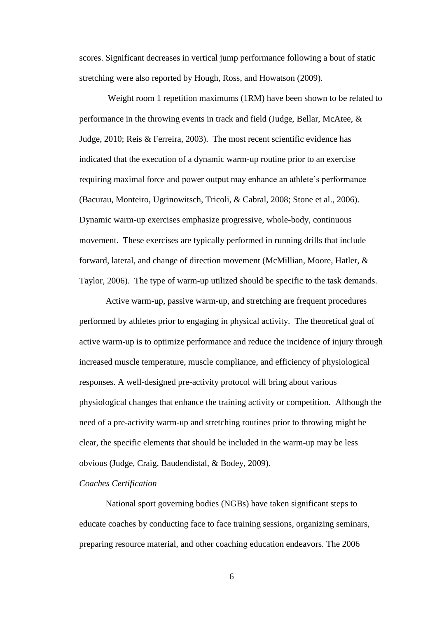scores. Significant decreases in vertical jump performance following a bout of static stretching were also reported by Hough, Ross, and Howatson (2009).

Weight room 1 repetition maximums (1RM) have been shown to be related to performance in the throwing events in track and field (Judge, Bellar, McAtee, & Judge, 2010; Reis & Ferreira, 2003). The most recent scientific evidence has indicated that the execution of a dynamic warm-up routine prior to an exercise requiring maximal force and power output may enhance an athlete's performance (Bacurau, Monteiro, Ugrinowitsch, Tricoli, & Cabral, 2008; Stone et al., 2006). Dynamic warm-up exercises emphasize progressive, whole-body, continuous movement. These exercises are typically performed in running drills that include forward, lateral, and change of direction movement (McMillian, Moore, Hatler, & Taylor, 2006). The type of warm-up utilized should be specific to the task demands.

Active warm-up, passive warm-up, and stretching are frequent procedures performed by athletes prior to engaging in physical activity. The theoretical goal of active warm-up is to optimize performance and reduce the incidence of injury through increased muscle temperature, muscle compliance, and efficiency of physiological responses. A well-designed pre-activity protocol will bring about various physiological changes that enhance the training activity or competition. Although the need of a pre-activity warm-up and stretching routines prior to throwing might be clear, the specific elements that should be included in the warm-up may be less obvious (Judge, Craig, Baudendistal, & Bodey, 2009).

# *Coaches Certification*

National sport governing bodies (NGBs) have taken significant steps to educate coaches by conducting face to face training sessions, organizing seminars, preparing resource material, and other coaching education endeavors. The 2006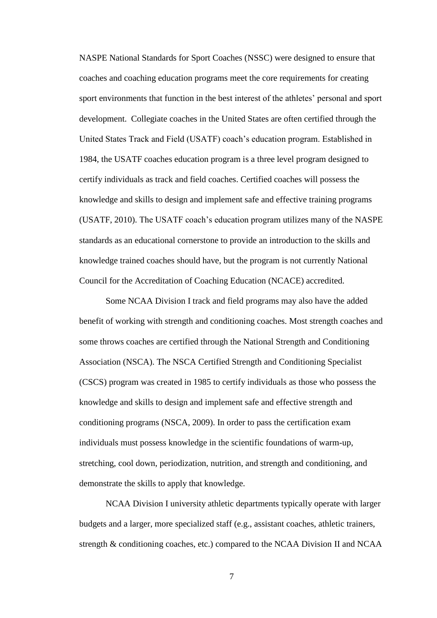NASPE National Standards for Sport Coaches (NSSC) were designed to ensure that coaches and coaching education programs meet the core requirements for creating sport environments that function in the best interest of the athletes' personal and sport development. Collegiate coaches in the United States are often certified through the United States Track and Field (USATF) coach's education program. Established in 1984, the USATF coaches education program is a three level program designed to certify individuals as track and field coaches. Certified coaches will possess the knowledge and skills to design and implement safe and effective training programs (USATF, 2010). The USATF coach's education program utilizes many of the NASPE standards as an educational cornerstone to provide an introduction to the skills and knowledge trained coaches should have, but the program is not currently National Council for the Accreditation of Coaching Education (NCACE) accredited.

Some NCAA Division I track and field programs may also have the added benefit of working with strength and conditioning coaches. Most strength coaches and some throws coaches are certified through the National Strength and Conditioning Association (NSCA). The NSCA Certified Strength and Conditioning Specialist (CSCS) program was created in 1985 to certify individuals as those who possess the knowledge and skills to design and implement safe and effective strength and conditioning programs (NSCA, 2009). In order to pass the certification exam individuals must possess knowledge in the scientific foundations of warm-up, stretching, cool down, periodization, nutrition, and strength and conditioning, and demonstrate the skills to apply that knowledge.

NCAA Division I university athletic departments typically operate with larger budgets and a larger, more specialized staff (e.g., assistant coaches, athletic trainers, strength & conditioning coaches, etc.) compared to the NCAA Division II and NCAA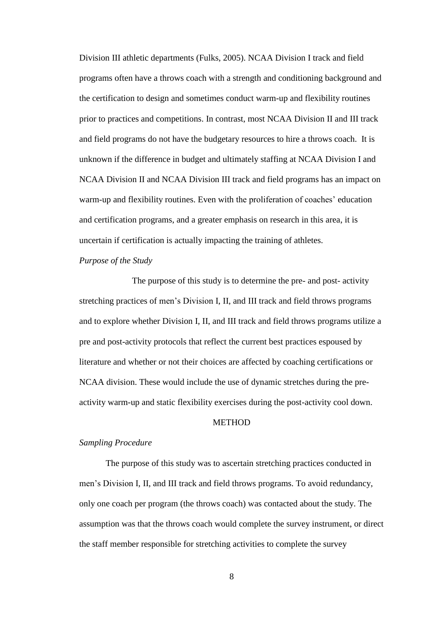Division III athletic departments (Fulks, 2005). NCAA Division I track and field programs often have a throws coach with a strength and conditioning background and the certification to design and sometimes conduct warm-up and flexibility routines prior to practices and competitions. In contrast, most NCAA Division II and III track and field programs do not have the budgetary resources to hire a throws coach. It is unknown if the difference in budget and ultimately staffing at NCAA Division I and NCAA Division II and NCAA Division III track and field programs has an impact on warm-up and flexibility routines. Even with the proliferation of coaches' education and certification programs, and a greater emphasis on research in this area, it is uncertain if certification is actually impacting the training of athletes.

# *Purpose of the Study*

The purpose of this study is to determine the pre- and post- activity stretching practices of men's Division I, II, and III track and field throws programs and to explore whether Division I, II, and III track and field throws programs utilize a pre and post-activity protocols that reflect the current best practices espoused by literature and whether or not their choices are affected by coaching certifications or NCAA division. These would include the use of dynamic stretches during the preactivity warm-up and static flexibility exercises during the post-activity cool down.

## **METHOD**

#### *Sampling Procedure*

The purpose of this study was to ascertain stretching practices conducted in men's Division I, II, and III track and field throws programs. To avoid redundancy, only one coach per program (the throws coach) was contacted about the study. The assumption was that the throws coach would complete the survey instrument, or direct the staff member responsible for stretching activities to complete the survey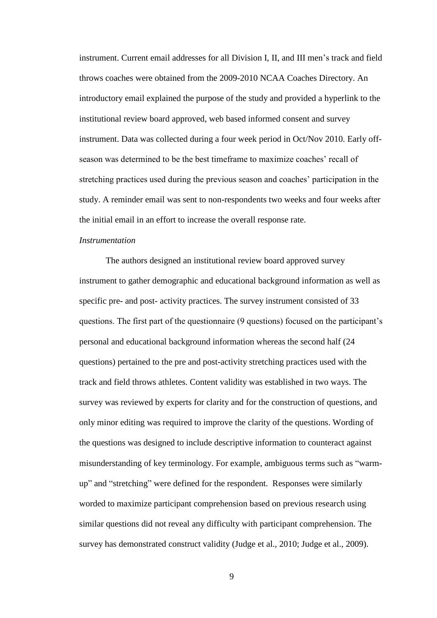instrument. Current email addresses for all Division I, II, and III men's track and field throws coaches were obtained from the 2009-2010 NCAA Coaches Directory. An introductory email explained the purpose of the study and provided a hyperlink to the institutional review board approved, web based informed consent and survey instrument. Data was collected during a four week period in Oct/Nov 2010. Early offseason was determined to be the best timeframe to maximize coaches' recall of stretching practices used during the previous season and coaches' participation in the study. A reminder email was sent to non-respondents two weeks and four weeks after the initial email in an effort to increase the overall response rate.

#### *Instrumentation*

The authors designed an institutional review board approved survey instrument to gather demographic and educational background information as well as specific pre- and post- activity practices. The survey instrument consisted of 33 questions. The first part of the questionnaire (9 questions) focused on the participant's personal and educational background information whereas the second half (24 questions) pertained to the pre and post-activity stretching practices used with the track and field throws athletes. Content validity was established in two ways. The survey was reviewed by experts for clarity and for the construction of questions, and only minor editing was required to improve the clarity of the questions. Wording of the questions was designed to include descriptive information to counteract against misunderstanding of key terminology. For example, ambiguous terms such as "warmup" and "stretching" were defined for the respondent. Responses were similarly worded to maximize participant comprehension based on previous research using similar questions did not reveal any difficulty with participant comprehension. The survey has demonstrated construct validity (Judge et al., 2010; Judge et al., 2009).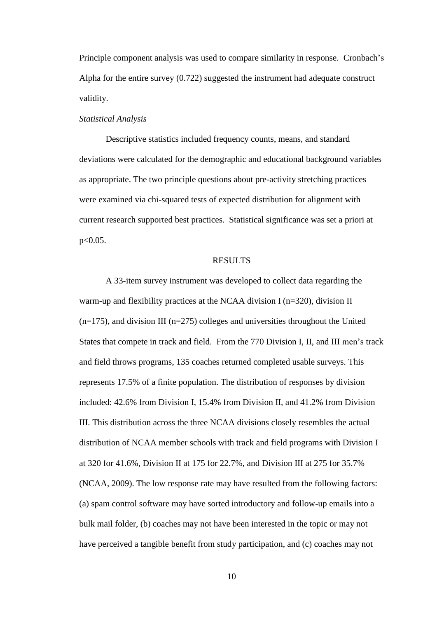Principle component analysis was used to compare similarity in response. Cronbach's Alpha for the entire survey (0.722) suggested the instrument had adequate construct validity.

#### *Statistical Analysis*

Descriptive statistics included frequency counts, means, and standard deviations were calculated for the demographic and educational background variables as appropriate. The two principle questions about pre-activity stretching practices were examined via chi-squared tests of expected distribution for alignment with current research supported best practices. Statistical significance was set a priori at  $p<0.05$ .

# RESULTS

A 33-item survey instrument was developed to collect data regarding the warm-up and flexibility practices at the NCAA division I (n=320), division II  $(n=175)$ , and division III ( $n=275$ ) colleges and universities throughout the United States that compete in track and field. From the 770 Division I, II, and III men's track and field throws programs, 135 coaches returned completed usable surveys. This represents 17.5% of a finite population. The distribution of responses by division included: 42.6% from Division I, 15.4% from Division II, and 41.2% from Division III. This distribution across the three NCAA divisions closely resembles the actual distribution of NCAA member schools with track and field programs with Division I at 320 for 41.6%, Division II at 175 for 22.7%, and Division III at 275 for 35.7% (NCAA, 2009). The low response rate may have resulted from the following factors: (a) spam control software may have sorted introductory and follow-up emails into a bulk mail folder, (b) coaches may not have been interested in the topic or may not have perceived a tangible benefit from study participation, and (c) coaches may not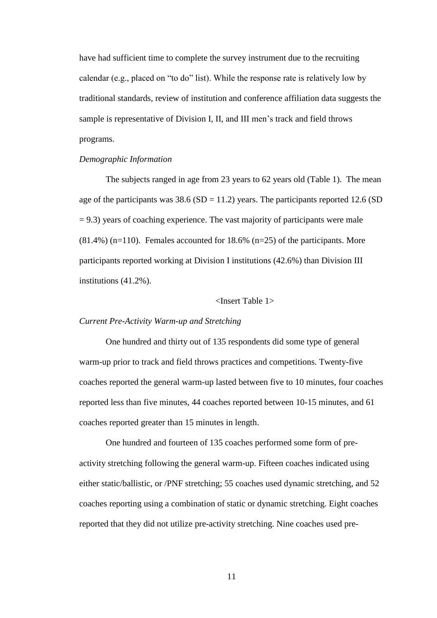have had sufficient time to complete the survey instrument due to the recruiting calendar (e.g., placed on "to do" list). While the response rate is relatively low by traditional standards, review of institution and conference affiliation data suggests the sample is representative of Division I, II, and III men's track and field throws programs.

## *Demographic Information*

The subjects ranged in age from 23 years to 62 years old (Table 1). The mean age of the participants was  $38.6$  (SD = 11.2) years. The participants reported 12.6 (SD  $= 9.3$ ) years of coaching experience. The vast majority of participants were male  $(81.4\%)$  (n=110). Females accounted for 18.6% (n=25) of the participants. More participants reported working at Division I institutions (42.6%) than Division III institutions (41.2%).

## <Insert Table 1>

#### *Current Pre-Activity Warm-up and Stretching*

One hundred and thirty out of 135 respondents did some type of general warm-up prior to track and field throws practices and competitions. Twenty-five coaches reported the general warm-up lasted between five to 10 minutes, four coaches reported less than five minutes, 44 coaches reported between 10-15 minutes, and 61 coaches reported greater than 15 minutes in length.

One hundred and fourteen of 135 coaches performed some form of preactivity stretching following the general warm-up. Fifteen coaches indicated using either static/ballistic, or /PNF stretching; 55 coaches used dynamic stretching, and 52 coaches reporting using a combination of static or dynamic stretching. Eight coaches reported that they did not utilize pre-activity stretching. Nine coaches used pre-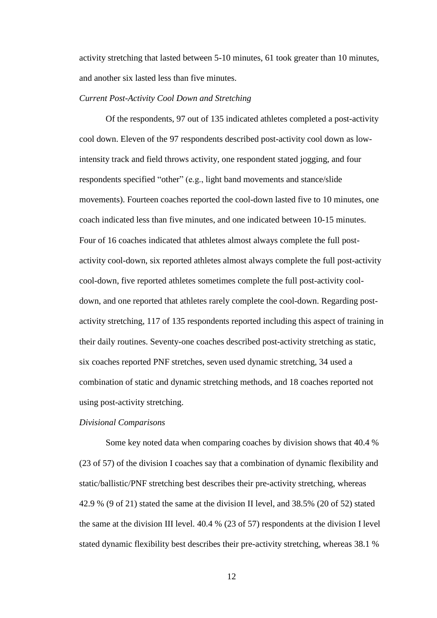activity stretching that lasted between 5-10 minutes, 61 took greater than 10 minutes, and another six lasted less than five minutes.

# *Current Post-Activity Cool Down and Stretching*

Of the respondents, 97 out of 135 indicated athletes completed a post-activity cool down. Eleven of the 97 respondents described post-activity cool down as lowintensity track and field throws activity, one respondent stated jogging, and four respondents specified "other" (e.g., light band movements and stance/slide movements). Fourteen coaches reported the cool-down lasted five to 10 minutes, one coach indicated less than five minutes, and one indicated between 10-15 minutes. Four of 16 coaches indicated that athletes almost always complete the full postactivity cool-down, six reported athletes almost always complete the full post-activity cool-down, five reported athletes sometimes complete the full post-activity cooldown, and one reported that athletes rarely complete the cool-down. Regarding postactivity stretching, 117 of 135 respondents reported including this aspect of training in their daily routines. Seventy-one coaches described post-activity stretching as static, six coaches reported PNF stretches, seven used dynamic stretching, 34 used a combination of static and dynamic stretching methods, and 18 coaches reported not using post-activity stretching.

## *Divisional Comparisons*

Some key noted data when comparing coaches by division shows that 40.4 % (23 of 57) of the division I coaches say that a combination of dynamic flexibility and static/ballistic/PNF stretching best describes their pre-activity stretching, whereas 42.9 % (9 of 21) stated the same at the division II level, and 38.5% (20 of 52) stated the same at the division III level. 40.4 % (23 of 57) respondents at the division I level stated dynamic flexibility best describes their pre-activity stretching, whereas 38.1 %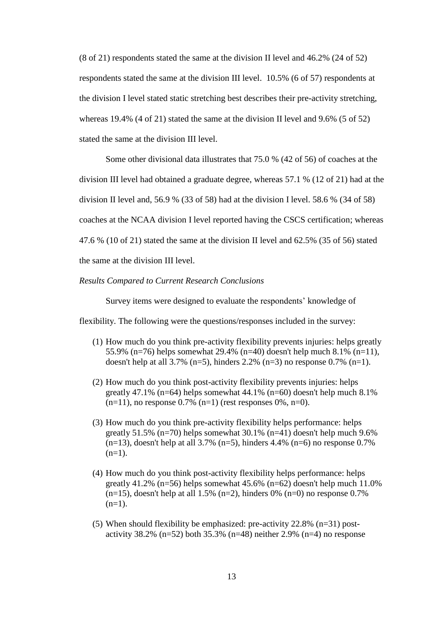(8 of 21) respondents stated the same at the division II level and 46.2% (24 of 52) respondents stated the same at the division III level. 10.5% (6 of 57) respondents at the division I level stated static stretching best describes their pre-activity stretching, whereas 19.4% (4 of 21) stated the same at the division II level and 9.6% (5 of 52) stated the same at the division III level.

Some other divisional data illustrates that 75.0 % (42 of 56) of coaches at the division III level had obtained a graduate degree, whereas 57.1 % (12 of 21) had at the division II level and, 56.9 % (33 of 58) had at the division I level. 58.6 % (34 of 58) coaches at the NCAA division I level reported having the CSCS certification; whereas 47.6 % (10 of 21) stated the same at the division II level and 62.5% (35 of 56) stated the same at the division III level.

#### *Results Compared to Current Research Conclusions*

Survey items were designed to evaluate the respondents' knowledge of

flexibility. The following were the questions/responses included in the survey:

- (1) How much do you think pre-activity flexibility prevents injuries: helps greatly 55.9% (n=76) helps somewhat 29.4% (n=40) doesn't help much 8.1% (n=11), doesn't help at all 3.7% (n=5), hinders 2.2% (n=3) no response 0.7% (n=1).
- (2) How much do you think post-activity flexibility prevents injuries: helps greatly 47.1% (n=64) helps somewhat  $44.1\%$  (n=60) doesn't help much  $8.1\%$  $(n=11)$ , no response 0.7%  $(n=1)$  (rest responses 0%, n=0).
- (3) How much do you think pre-activity flexibility helps performance: helps greatly  $51.5\%$  (n=70) helps somewhat  $30.1\%$  (n=41) doesn't help much  $9.6\%$  $(n=13)$ , doesn't help at all 3.7%  $(n=5)$ , hinders 4.4%  $(n=6)$  no response 0.7%  $(n=1)$ .
- (4) How much do you think post-activity flexibility helps performance: helps greatly 41.2% ( $n=56$ ) helps somewhat 45.6% ( $n=62$ ) doesn't help much 11.0% (n=15), doesn't help at all 1.5% (n=2), hinders 0% (n=0) no response  $0.7\%$  $(n=1)$ .
- (5) When should flexibility be emphasized: pre-activity 22.8% (n=31) postactivity 38.2% (n=52) both 35.3% (n=48) neither 2.9% (n=4) no response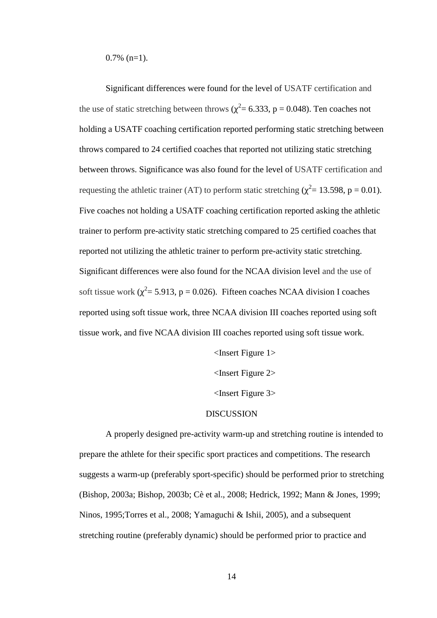$0.7\%$  (n=1).

Significant differences were found for the level of USATF certification and the use of static stretching between throws ( $\chi^2$  = 6.333, p = 0.048). Ten coaches not holding a USATF coaching certification reported performing static stretching between throws compared to 24 certified coaches that reported not utilizing static stretching between throws. Significance was also found for the level of USATF certification and requesting the athletic trainer (AT) to perform static stretching ( $\chi^2$  = 13.598, p = 0.01). Five coaches not holding a USATF coaching certification reported asking the athletic trainer to perform pre-activity static stretching compared to 25 certified coaches that reported not utilizing the athletic trainer to perform pre-activity static stretching. Significant differences were also found for the NCAA division level and the use of soft tissue work ( $\chi^2$  = 5.913, p = 0.026). Fifteen coaches NCAA division I coaches reported using soft tissue work, three NCAA division III coaches reported using soft tissue work, and five NCAA division III coaches reported using soft tissue work.

<Insert Figure 1>

<Insert Figure 2>

<Insert Figure 3>

# DISCUSSION

A properly designed pre-activity warm-up and stretching routine is intended to prepare the athlete for their specific sport practices and competitions. The research suggests a warm-up (preferably sport-specific) should be performed prior to stretching (Bishop, 2003a; Bishop, 2003b; Cè et al., 2008; Hedrick, 1992; Mann & Jones, 1999; Ninos, 1995;Torres et al., 2008; Yamaguchi & Ishii, 2005), and a subsequent stretching routine (preferably dynamic) should be performed prior to practice and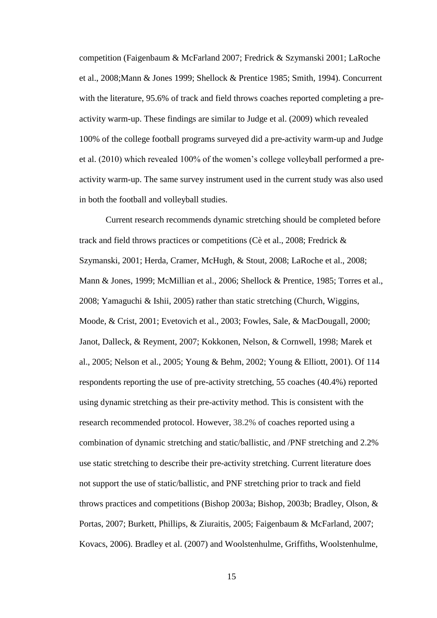competition (Faigenbaum & McFarland 2007; Fredrick & Szymanski 2001; LaRoche et al., 2008;Mann & Jones 1999; Shellock & Prentice 1985; Smith, 1994). Concurrent with the literature, 95.6% of track and field throws coaches reported completing a preactivity warm-up. These findings are similar to Judge et al. (2009) which revealed 100% of the college football programs surveyed did a pre-activity warm-up and Judge et al. (2010) which revealed 100% of the women's college volleyball performed a preactivity warm-up. The same survey instrument used in the current study was also used in both the football and volleyball studies.

Current research recommends dynamic stretching should be completed before track and field throws practices or competitions (Cè et al., 2008; Fredrick & Szymanski, 2001; Herda, Cramer, McHugh, & Stout, 2008; LaRoche et al., 2008; Mann & Jones, 1999; McMillian et al., 2006; Shellock & Prentice, 1985; Torres et al., 2008; Yamaguchi & Ishii, 2005) rather than static stretching (Church, Wiggins, Moode, & Crist, 2001; Evetovich et al., 2003; Fowles, Sale, & MacDougall, 2000; Janot, Dalleck, & Reyment, 2007; Kokkonen, Nelson, & Cornwell, 1998; Marek et al., 2005; Nelson et al., 2005; Young & Behm, 2002; Young & Elliott, 2001). Of 114 respondents reporting the use of pre-activity stretching, 55 coaches (40.4%) reported using dynamic stretching as their pre-activity method. This is consistent with the research recommended protocol. However, 38.2% of coaches reported using a combination of dynamic stretching and static/ballistic, and /PNF stretching and 2.2% use static stretching to describe their pre-activity stretching. Current literature does not support the use of static/ballistic, and PNF stretching prior to track and field throws practices and competitions (Bishop 2003a; Bishop, 2003b; Bradley, Olson, & Portas, 2007; Burkett, Phillips, & Ziuraitis, 2005; Faigenbaum & McFarland, 2007; Kovacs, 2006). Bradley et al. (2007) and Woolstenhulme, Griffiths, Woolstenhulme,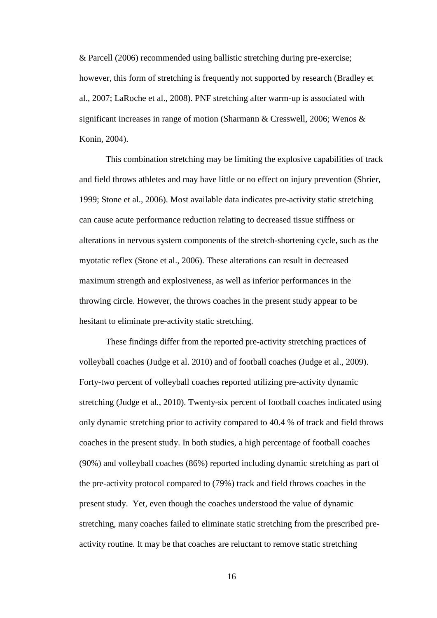& Parcell (2006) recommended using ballistic stretching during pre-exercise; however, this form of stretching is frequently not supported by research (Bradley et al., 2007; LaRoche et al., 2008). PNF stretching after warm-up is associated with significant increases in range of motion (Sharmann & Cresswell, 2006; Wenos & Konin, 2004).

This combination stretching may be limiting the explosive capabilities of track and field throws athletes and may have little or no effect on injury prevention (Shrier, 1999; Stone et al., 2006). Most available data indicates pre-activity static stretching can cause acute performance reduction relating to decreased tissue stiffness or alterations in nervous system components of the stretch-shortening cycle, such as the myotatic reflex (Stone et al., 2006). These alterations can result in decreased maximum strength and explosiveness, as well as inferior performances in the throwing circle. However, the throws coaches in the present study appear to be hesitant to eliminate pre-activity static stretching.

These findings differ from the reported pre-activity stretching practices of volleyball coaches (Judge et al. 2010) and of football coaches (Judge et al., 2009). Forty-two percent of volleyball coaches reported utilizing pre-activity dynamic stretching (Judge et al., 2010). Twenty-six percent of football coaches indicated using only dynamic stretching prior to activity compared to 40.4 % of track and field throws coaches in the present study. In both studies, a high percentage of football coaches (90%) and volleyball coaches (86%) reported including dynamic stretching as part of the pre-activity protocol compared to (79%) track and field throws coaches in the present study. Yet, even though the coaches understood the value of dynamic stretching, many coaches failed to eliminate static stretching from the prescribed preactivity routine. It may be that coaches are reluctant to remove static stretching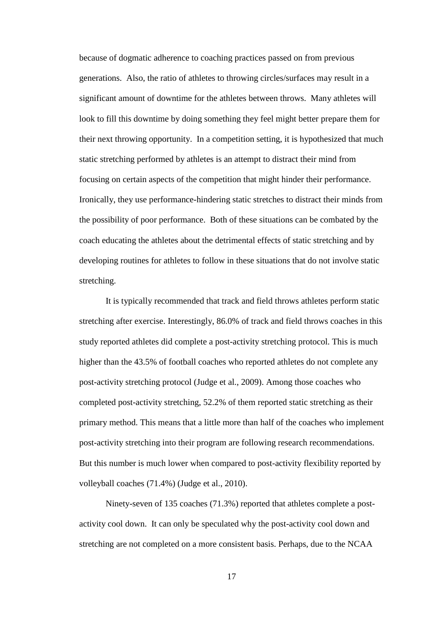because of dogmatic adherence to coaching practices passed on from previous generations. Also, the ratio of athletes to throwing circles/surfaces may result in a significant amount of downtime for the athletes between throws. Many athletes will look to fill this downtime by doing something they feel might better prepare them for their next throwing opportunity. In a competition setting, it is hypothesized that much static stretching performed by athletes is an attempt to distract their mind from focusing on certain aspects of the competition that might hinder their performance. Ironically, they use performance-hindering static stretches to distract their minds from the possibility of poor performance. Both of these situations can be combated by the coach educating the athletes about the detrimental effects of static stretching and by developing routines for athletes to follow in these situations that do not involve static stretching.

It is typically recommended that track and field throws athletes perform static stretching after exercise. Interestingly, 86.0% of track and field throws coaches in this study reported athletes did complete a post-activity stretching protocol. This is much higher than the 43.5% of football coaches who reported athletes do not complete any post-activity stretching protocol (Judge et al., 2009). Among those coaches who completed post-activity stretching, 52.2% of them reported static stretching as their primary method. This means that a little more than half of the coaches who implement post-activity stretching into their program are following research recommendations. But this number is much lower when compared to post-activity flexibility reported by volleyball coaches (71.4%) (Judge et al., 2010).

Ninety-seven of 135 coaches (71.3%) reported that athletes complete a postactivity cool down. It can only be speculated why the post-activity cool down and stretching are not completed on a more consistent basis. Perhaps, due to the NCAA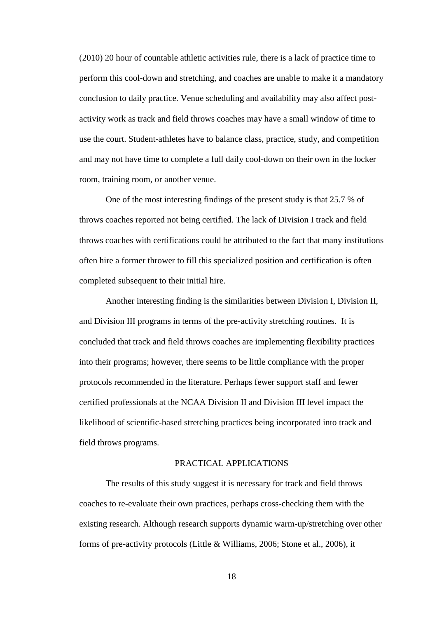(2010) 20 hour of countable athletic activities rule, there is a lack of practice time to perform this cool-down and stretching, and coaches are unable to make it a mandatory conclusion to daily practice. Venue scheduling and availability may also affect postactivity work as track and field throws coaches may have a small window of time to use the court. Student-athletes have to balance class, practice, study, and competition and may not have time to complete a full daily cool-down on their own in the locker room, training room, or another venue.

One of the most interesting findings of the present study is that 25.7 % of throws coaches reported not being certified. The lack of Division I track and field throws coaches with certifications could be attributed to the fact that many institutions often hire a former thrower to fill this specialized position and certification is often completed subsequent to their initial hire.

Another interesting finding is the similarities between Division I, Division II, and Division III programs in terms of the pre-activity stretching routines. It is concluded that track and field throws coaches are implementing flexibility practices into their programs; however, there seems to be little compliance with the proper protocols recommended in the literature. Perhaps fewer support staff and fewer certified professionals at the NCAA Division II and Division III level impact the likelihood of scientific-based stretching practices being incorporated into track and field throws programs.

# PRACTICAL APPLICATIONS

The results of this study suggest it is necessary for track and field throws coaches to re-evaluate their own practices, perhaps cross-checking them with the existing research. Although research supports dynamic warm-up/stretching over other forms of pre-activity protocols (Little & Williams, 2006; Stone et al., 2006), it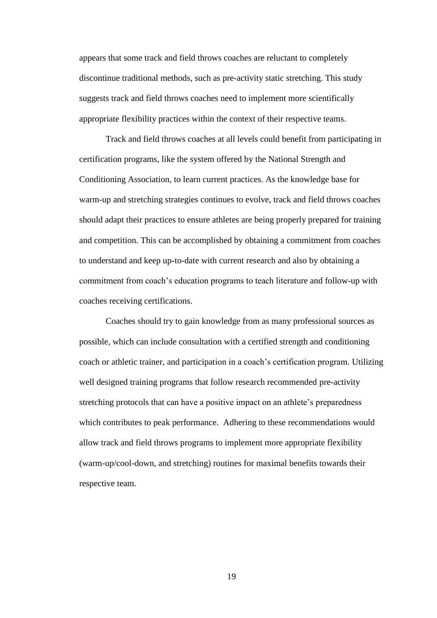appears that some track and field throws coaches are reluctant to completely discontinue traditional methods, such as pre-activity static stretching. This study suggests track and field throws coaches need to implement more scientifically appropriate flexibility practices within the context of their respective teams.

Track and field throws coaches at all levels could benefit from participating in certification programs, like the system offered by the National Strength and Conditioning Association, to learn current practices. As the knowledge base for warm-up and stretching strategies continues to evolve, track and field throws coaches should adapt their practices to ensure athletes are being properly prepared for training and competition. This can be accomplished by obtaining a commitment from coaches to understand and keep up-to-date with current research and also by obtaining a commitment from coach's education programs to teach literature and follow-up with coaches receiving certifications.

Coaches should try to gain knowledge from as many professional sources as possible, which can include consultation with a certified strength and conditioning coach or athletic trainer, and participation in a coach's certification program. Utilizing well designed training programs that follow research recommended pre-activity stretching protocols that can have a positive impact on an athlete's preparedness which contributes to peak performance. Adhering to these recommendations would allow track and field throws programs to implement more appropriate flexibility (warm-up/cool-down, and stretching) routines for maximal benefits towards their respective team.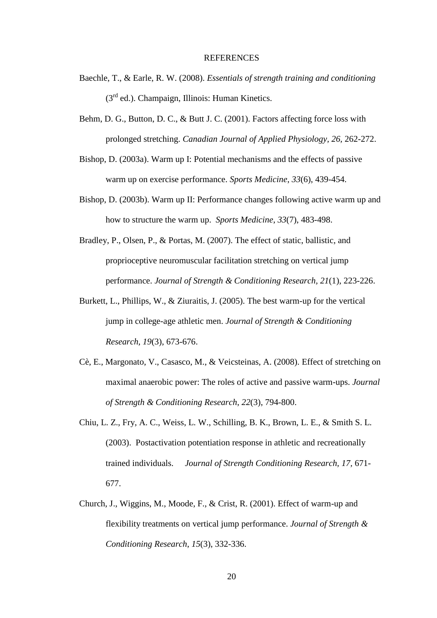#### **REFERENCES**

- Baechle, T., & Earle, R. W. (2008). *Essentials of strength training and conditioning*  $(3<sup>rd</sup>$  ed.). Champaign, Illinois: Human Kinetics.
- Behm, D. G., Button, D. C., & Butt J. C. (2001). Factors affecting force loss with prolonged stretching. *Canadian Journal of Applied Physiology, 26,* 262-272.
- Bishop, D. (2003a). Warm up I: Potential mechanisms and the effects of passive warm up on exercise performance. *Sports Medicine*, *33*(6), 439-454.
- Bishop, D. (2003b). Warm up II: Performance changes following active warm up and how to structure the warm up. *Sports Medicine*, *33*(7), 483-498.
- Bradley, P., Olsen, P., & Portas, M. (2007). The effect of static, ballistic, and proprioceptive neuromuscular facilitation stretching on vertical jump performance. *Journal of Strength & Conditioning Research, 21*(1), 223-226.
- Burkett, L., Phillips, W., & Ziuraitis, J. (2005). The best warm-up for the vertical jump in college-age athletic men. *Journal of Strength & Conditioning Research*, *19*(3), 673-676.
- Cè, E., Margonato, V., Casasco, M., & Veicsteinas, A. (2008). Effect of stretching on maximal anaerobic power: The roles of active and passive warm-ups. *Journal of Strength & Conditioning Research*, *22*(3), 794-800.
- Chiu, L. Z., Fry, A. C., Weiss, L. W., Schilling, B. K., Brown, L. E., & Smith S. L. (2003). Postactivation potentiation response in athletic and recreationally trained individuals. *Journal of Strength Conditioning Research, 17,* 671- 677.
- Church, J., Wiggins, M., Moode, F., & Crist, R. (2001). Effect of warm-up and flexibility treatments on vertical jump performance. *Journal of Strength & Conditioning Research*, *15*(3), 332-336.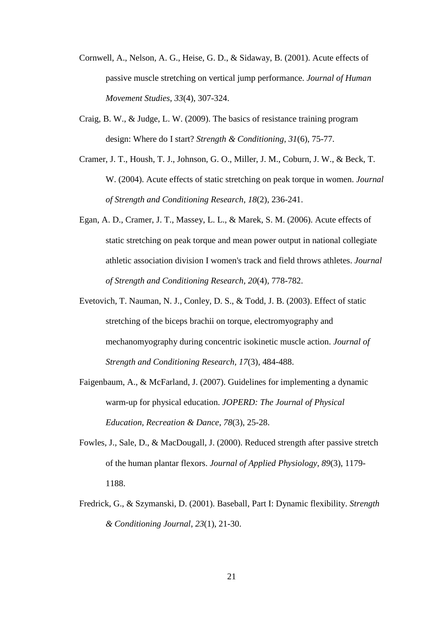- Cornwell, A., Nelson, A. G., Heise, G. D., & Sidaway, B. (2001). Acute effects of passive muscle stretching on vertical jump performance. *Journal of Human Movement Studies*, *33*(4), 307-324.
- Craig, B. W., & Judge, L. W. (2009). The basics of resistance training program design: Where do I start? *Strength & Conditioning*, *31*(6), 75-77.
- Cramer, J. T., Housh, T. J., Johnson, G. O., Miller, J. M., Coburn, J. W., & Beck, T. W. (2004). Acute effects of static stretching on peak torque in women. *Journal of Strength and Conditioning Research*, *18*(2), 236-241.
- Egan, A. D., Cramer, J. T., Massey, L. L., & Marek, S. M. (2006). Acute effects of static stretching on peak torque and mean power output in national collegiate athletic association division I women's track and field throws athletes. *Journal of Strength and Conditioning Research, 20*(4), 778-782.
- Evetovich, T. Nauman, N. J., Conley, D. S., & Todd, J. B. (2003). Effect of static stretching of the biceps brachii on torque, electromyography and mechanomyography during concentric isokinetic muscle action. *Journal of Strength and Conditioning Research, 17*(3), 484-488.
- Faigenbaum, A., & McFarland, J. (2007). Guidelines for implementing a dynamic warm-up for physical education. *JOPERD: The Journal of Physical Education, Recreation & Dance*, *78*(3), 25-28.
- Fowles, J., Sale, D., & MacDougall, J. (2000). Reduced strength after passive stretch of the human plantar flexors. *Journal of Applied Physiology*, *89*(3), 1179- 1188.
- Fredrick, G., & Szymanski, D. (2001). Baseball, Part I: Dynamic flexibility. *Strength & Conditioning Journal*, *23*(1), 21-30.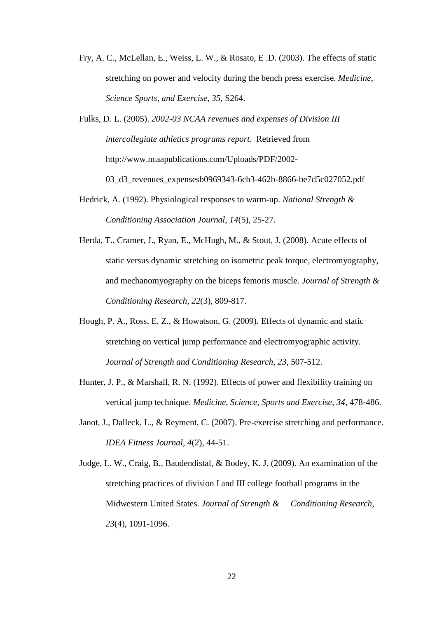Fry, A. C., McLellan, E., Weiss, L. W., & Rosato, E .D. (2003). The effects of static stretching on power and velocity during the bench press exercise. *Medicine, Science Sports, and Exercise, 35,* S264.

Fulks, D. L. (2005). *2002-03 NCAA revenues and expenses of Division III intercollegiate athletics programs report*. Retrieved from http://www.ncaapublications.com/Uploads/PDF/2002-

03\_d3\_revenues\_expensesb0969343-6cb3-462b-8866-be7d5c027052.pdf

- Hedrick, A. (1992). Physiological responses to warm-up. *National Strength & Conditioning Association Journal*, *14*(5), 25-27.
- Herda, T., Cramer, J., Ryan, E., McHugh, M., & Stout, J. (2008). Acute effects of static versus dynamic stretching on isometric peak torque, electromyography, and mechanomyography on the biceps femoris muscle. *Journal of Strength & Conditioning Research*, *22*(3), 809-817.
- Hough, P. A., Ross, E. Z., & Howatson, G. (2009). Effects of dynamic and static stretching on vertical jump performance and electromyographic activity. *Journal of Strength and Conditioning Research*, *23*, 507-512.
- Hunter, J. P., & Marshall, R. N. (1992). Effects of power and flexibility training on vertical jump technique. *Medicine, Science, Sports and Exercise, 34*, 478-486.
- Janot, J., Dalleck, L., & Reyment, C. (2007). Pre-exercise stretching and performance. *IDEA Fitness Journal*, *4*(2), 44-51.
- Judge, L. W., Craig, B., Baudendistal, & Bodey, K. J. (2009). An examination of the stretching practices of division I and III college football programs in the Midwestern United States. *Journal of Strength & Conditioning Research*, *23*(4), 1091-1096.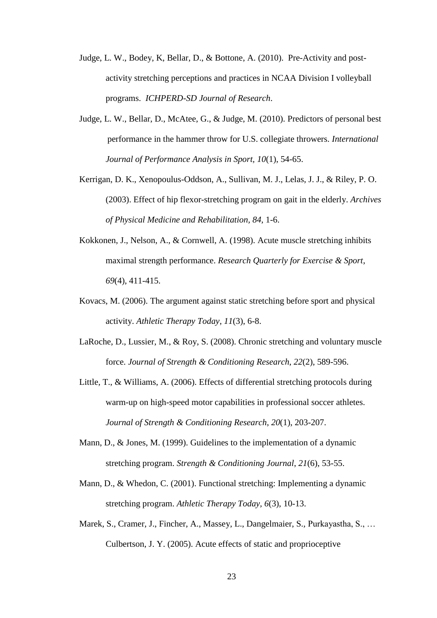- Judge, L. W., Bodey, K, Bellar, D., & Bottone, A. (2010). Pre-Activity and postactivity stretching perceptions and practices in NCAA Division I volleyball programs. *ICHPERD-SD Journal of Research*.
- Judge, L. W., Bellar, D., McAtee, G., & Judge, M. (2010). Predictors of personal best performance in the hammer throw for U.S. collegiate throwers. *International Journal of Performance Analysis in Sport, 10*(1), 54-65.
- Kerrigan, D. K., Xenopoulus-Oddson, A., Sullivan, M. J., Lelas, J. J., & Riley, P. O. (2003). Effect of hip flexor-stretching program on gait in the elderly. *Archives of Physical Medicine and Rehabilitation, 84,* 1-6.
- Kokkonen, J., Nelson, A., & Cornwell, A. (1998). Acute muscle stretching inhibits maximal strength performance. *Research Quarterly for Exercise & Sport*, *69*(4), 411-415.
- Kovacs, M. (2006). The argument against static stretching before sport and physical activity. *Athletic Therapy Today*, *11*(3), 6-8.
- LaRoche, D., Lussier, M., & Roy, S. (2008). Chronic stretching and voluntary muscle force. *Journal of Strength & Conditioning Research*, *22*(2), 589-596.
- Little, T., & Williams, A. (2006). Effects of differential stretching protocols during warm-up on high-speed motor capabilities in professional soccer athletes. *Journal of Strength & Conditioning Research*, *20*(1), 203-207.
- Mann, D., & Jones, M. (1999). Guidelines to the implementation of a dynamic stretching program. *Strength & Conditioning Journal*, *21*(6), 53-55.
- Mann, D., & Whedon, C. (2001). Functional stretching: Implementing a dynamic stretching program. *Athletic Therapy Today, 6*(3), 10-13.
- Marek, S., Cramer, J., Fincher, A., Massey, L., Dangelmaier, S., Purkayastha, S., … Culbertson, J. Y. (2005). Acute effects of static and proprioceptive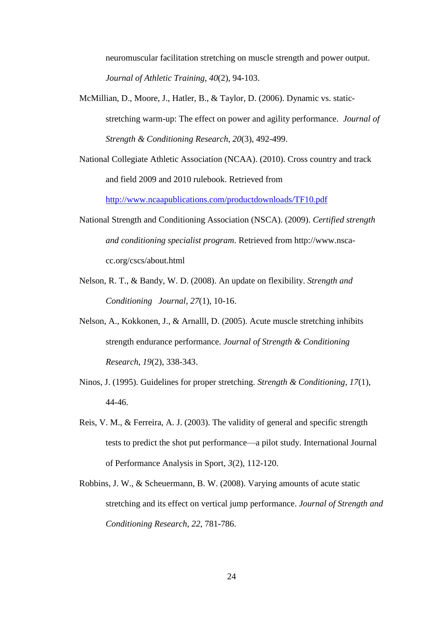neuromuscular facilitation stretching on muscle strength and power output. *Journal of Athletic Training*, *40*(2), 94-103.

- McMillian, D., Moore, J., Hatler, B., & Taylor, D. (2006). Dynamic vs. staticstretching warm-up: The effect on power and agility performance. *Journal of Strength & Conditioning Research*, *20*(3), 492-499.
- National Collegiate Athletic Association (NCAA). (2010). Cross country and track and field 2009 and 2010 rulebook. Retrieved from

<http://www.ncaapublications.com/productdownloads/TF10.pdf>

- National Strength and Conditioning Association (NSCA). (2009). *Certified strength and conditioning specialist program*. Retrieved from http://www.nscacc.org/cscs/about.html
- Nelson, R. T., & Bandy, W. D. (2008). An update on flexibility. *Strength and Conditioning Journal, 27*(1), 10-16.
- Nelson, A., Kokkonen, J., & Arnalll, D. (2005). Acute muscle stretching inhibits strength endurance performance. *Journal of Strength & Conditioning Research*, *19*(2), 338-343.
- Ninos, J. (1995). Guidelines for proper stretching. *Strength & Conditioning*, *17*(1), 44-46.
- Reis, V. M., & Ferreira, A. J. (2003). The validity of general and specific strength tests to predict the shot put performance—a pilot study. International Journal of Performance Analysis in Sport, *3*(2), 112-120.
- Robbins, J. W., & Scheuermann, B. W. (2008). Varying amounts of acute static stretching and its effect on vertical jump performance. *Journal of Strength and Conditioning Research*, *22*, 781-786.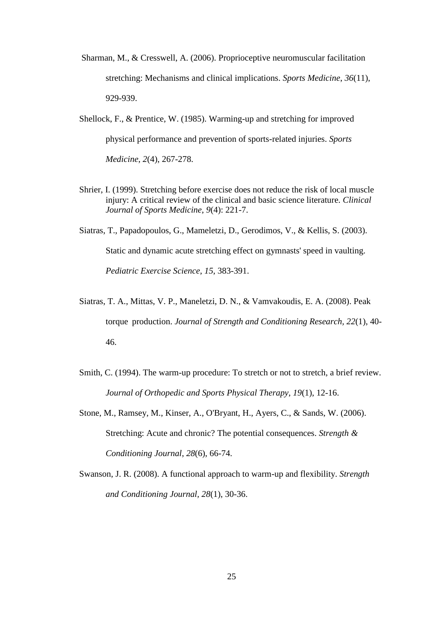- Sharman, M., & Cresswell, A. (2006). Proprioceptive neuromuscular facilitation stretching: Mechanisms and clinical implications. *Sports Medicine*, *36*(11), 929-939.
- Shellock, F., & Prentice, W. (1985). Warming-up and stretching for improved physical performance and prevention of sports-related injuries. *Sports Medicine*, *2*(4), 267-278.
- Shrier, I. (1999). Stretching before exercise does not reduce the risk of local muscle injury: A critical review of the clinical and basic science literature. *Clinical Journal of Sports Medicine*, *9*(4): 221-7.
- Siatras, T., Papadopoulos, G., Mameletzi, D., Gerodimos, V., & Kellis, S. (2003). Static and dynamic acute stretching effect on gymnasts' speed in vaulting. *Pediatric Exercise Science*, *15*, 383-391.
- Siatras, T. A., Mittas, V. P., Maneletzi, D. N., & Vamvakoudis, E. A. (2008). Peak torque production. *Journal of Strength and Conditioning Research, 22*(1), 40- 46.
- Smith, C. (1994). The warm-up procedure: To stretch or not to stretch, a brief review. *Journal of Orthopedic and Sports Physical Therapy*, *19*(1), 12-16.
- Stone, M., Ramsey, M., Kinser, A., O'Bryant, H., Ayers, C., & Sands, W. (2006). Stretching: Acute and chronic? The potential consequences. *Strength & Conditioning Journal*, *28*(6), 66-74.
- Swanson, J. R. (2008). A functional approach to warm-up and flexibility. *Strength and Conditioning Journal, 28*(1), 30-36.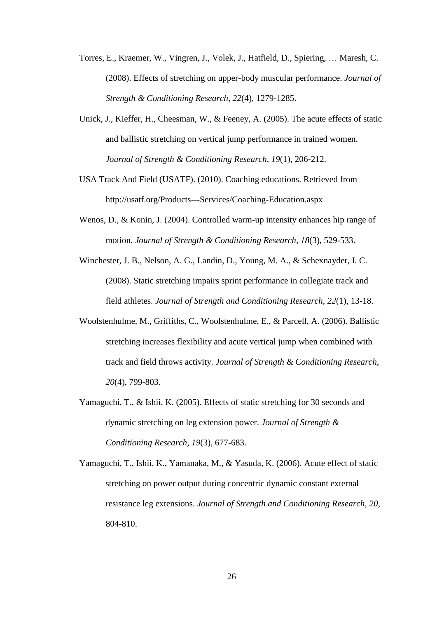- Torres, E., Kraemer, W., Vingren, J., Volek, J., Hatfield, D., Spiering, … Maresh, C. (2008). Effects of stretching on upper-body muscular performance. *Journal of Strength & Conditioning Research*, *22*(4), 1279-1285.
- Unick, J., Kieffer, H., Cheesman, W., & Feeney, A. (2005). The acute effects of static and ballistic stretching on vertical jump performance in trained women. *Journal of Strength & Conditioning Research*, *19*(1), 206-212.
- USA Track And Field (USATF). (2010). Coaching educations. Retrieved from http://usatf.org/Products---Services/Coaching-Education.aspx
- Wenos, D., & Konin, J. (2004). Controlled warm-up intensity enhances hip range of motion. *Journal of Strength & Conditioning Research*, *18*(3), 529-533.
- Winchester, J. B., Nelson, A. G., Landin, D., Young, M. A., & Schexnayder, I. C. (2008). Static stretching impairs sprint performance in collegiate track and field athletes. *Journal of Strength and Conditioning Research, 22*(1), 13-18.
- Woolstenhulme, M., Griffiths, C., Woolstenhulme, E., & Parcell, A. (2006). Ballistic stretching increases flexibility and acute vertical jump when combined with track and field throws activity. *Journal of Strength & Conditioning Research*, *20*(4), 799-803.
- Yamaguchi, T., & Ishii, K. (2005). Effects of static stretching for 30 seconds and dynamic stretching on leg extension power. *Journal of Strength & Conditioning Research*, *19*(3), 677-683.
- Yamaguchi, T., Ishii, K., Yamanaka, M., & Yasuda, K. (2006). Acute effect of static stretching on power output during concentric dynamic constant external resistance leg extensions. *Journal of Strength and Conditioning Research*, *20*, 804-810.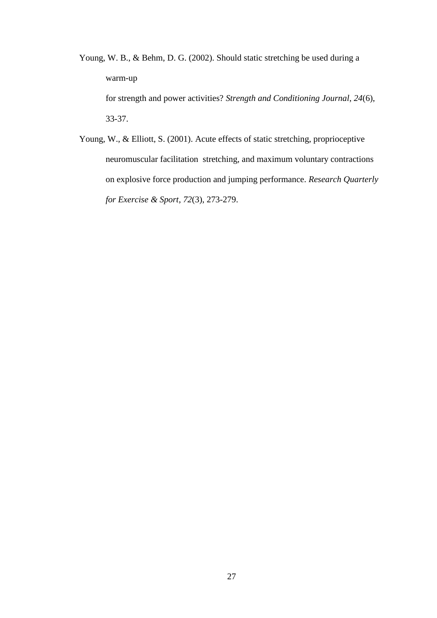Young, W. B., & Behm, D. G. (2002). Should static stretching be used during a warm-up for strength and power activities? *Strength and Conditioning Journal*, *24*(6), 33-37.

Young, W., & Elliott, S. (2001). Acute effects of static stretching, proprioceptive neuromuscular facilitation stretching, and maximum voluntary contractions on explosive force production and jumping performance. *Research Quarterly for Exercise & Sport*, *72*(3), 273-279.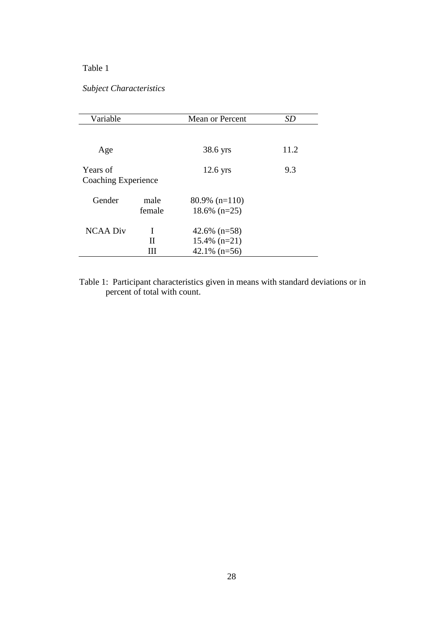# Table 1

# *Subject Characteristics*

| Variable                        |                | Mean or Percent                                      | SD   |
|---------------------------------|----------------|------------------------------------------------------|------|
|                                 |                |                                                      |      |
| Age                             |                | 38.6 yrs                                             | 11.2 |
| Years of<br>Coaching Experience |                | $12.6$ yrs                                           | 9.3  |
| Gender                          | male<br>female | $80.9\%$ (n=110)<br>$18.6\%$ (n=25)                  |      |
| <b>NCAA Div</b>                 | T<br>Н<br>Ш    | 42.6% $(n=58)$<br>$15.4\%$ (n=21)<br>$42.1\%$ (n=56) |      |

Table 1: Participant characteristics given in means with standard deviations or in percent of total with count.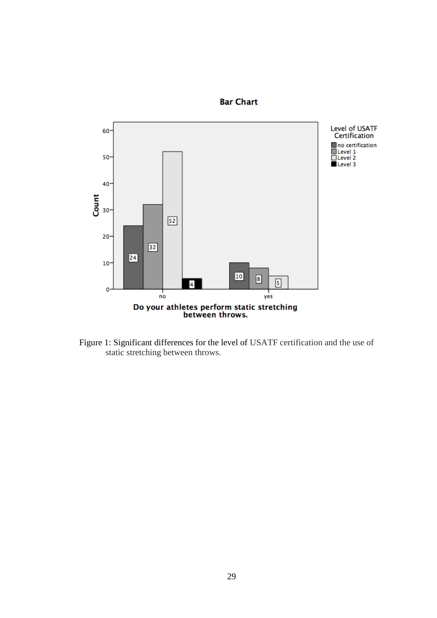

**Bar Chart** 

Figure 1: Significant differences for the level of USATF certification and the use of static stretching between throws.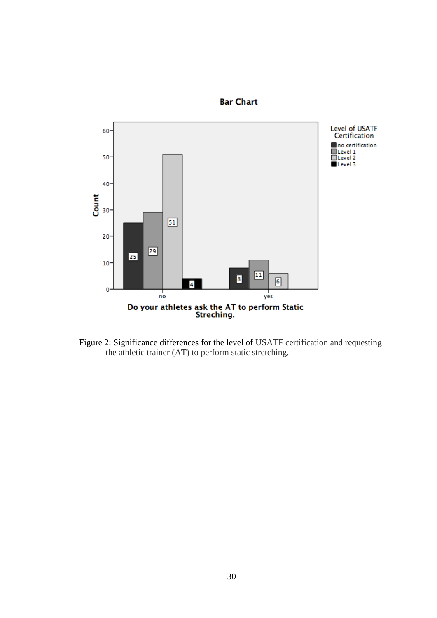

**Bar Chart** 

Figure 2: Significance differences for the level of USATF certification and requesting the athletic trainer (AT) to perform static stretching.